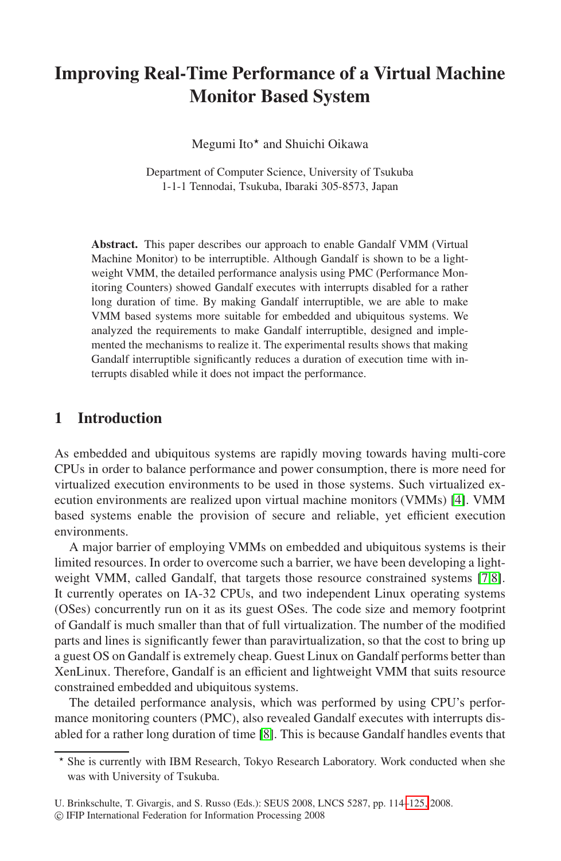# **Improving Real-Time Performance of a Virtual Machine Monitor Based System**

Megumi Ito<sup>\*</sup> and Shuichi Oikawa

Department of Computer Science, University of Tsukuba 1-1-1 Tennodai, Tsukuba, Ibaraki 305-8573, Japan

**Abstract.** This paper describes our approach to enable Gandalf VMM (Virtual Machine Monitor) to be interruptible. Although Gandalf is shown to be a lightweight VMM, the detailed performance analysis using PMC (Performance Monitoring Counters) showed Gandalf executes with interrupts disabled for a rather long duration of time. By making Gandalf interruptible, we are able to make VMM based systems more suitable for embedded and ubiquitous systems. We analyzed the requirements to make Gandalf interruptible, designed and implemented the mechanisms to realize it. The experimental results shows that making Gandalf interruptible significantly reduces a duration of execution time with interrupts disabled while it does not impact the performance.

## **1 Introduction**

As embedded and ubiquitous systems are rapidly moving towards having multi-core CPUs in order to balance performance and power consumption, there is more need for virtualized execution environments to be used in those systems. Such virtualized execution environments are realized upon virtual machine monitors (VMMs) [\[4\]](#page-10-0). VMM based systems enable the provision of secure and reliable, yet efficient execution environments.

A major barrier of employing VMMs on embedded and ubiquitous systems is their limited resources. In order to overcome such a barrier, we have been developing a lightweight VMM, called Gandalf, that targets those resource constrained systems [\[7](#page-11-0)[,8\]](#page-11-1). It currently operates on IA-32 CPUs, and two independent Linux operating systems (OSes) concurrently run on it as its guest OSes. The code size and memory footprint of Gandalf is much smaller than that of full virtualization. The number of the modified parts and lines is significantly fewer than paravirtualization, so that the cost to bring up a guest OS on Gandalf is extremely cheap. Guest Linux on Gandalf performs better than XenLinux. Therefore, Gandalf is an efficient and lightweight VMM that suits resource constrained embedded and ubiquitous systems.

The detailed performance analysis, which was performed by using CPU's performance monitoring counters (PMC), also revealed Gandalf executes with interrupts disabled for a rather long duration of time [\[8\]](#page-11-1). This is because Gandalf handles events that

<sup>-</sup> She is currently with IBM Research, Tokyo Research Laboratory. Work conducted when she was with University of Tsukuba.

U. Brinkschulte, T. Givargis, and S. Russo (Eds.): SEUS 2008, LNCS 5287, pp. 114[–125,](#page-11-2) 2008.

<sup>-</sup>c IFIP International Federation for Information Processing 2008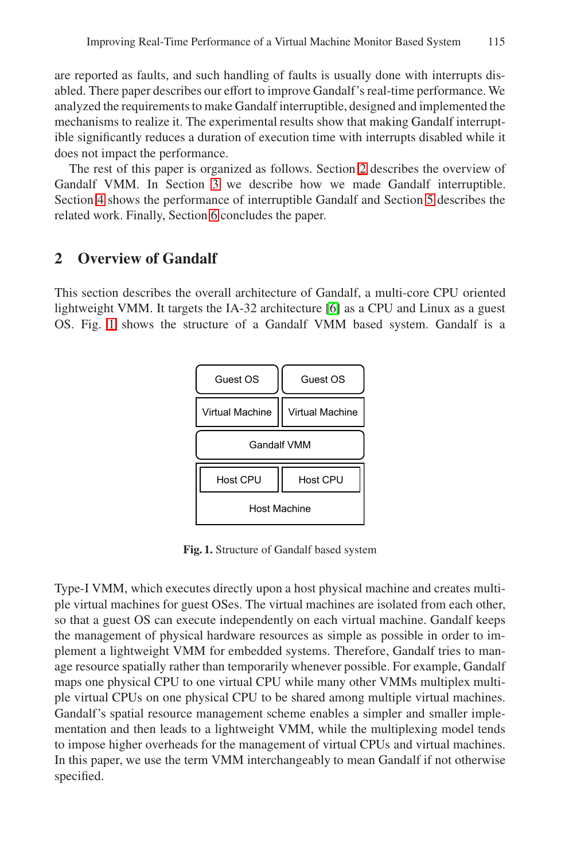are reported as faults, and such handling of faults is usually done with interrupts disabled. There paper describes our effort to improve Gandalf's real-time performance. We analyzed the requirements to make Gandalf interruptible, designed and implemented the mechanisms to realize it. The experimental results show that making Gandalf interruptible significantly reduces a duration of execution time with interrupts disabled while it does not impact the performance.

The rest of this paper is organized as follows. Section [2](#page-1-0) describes the overview of Gandalf VMM. In Section [3](#page-3-0) we describe how we made Gandalf interruptible. Section [4](#page-7-0) shows the performance of interruptible Gandalf and Section [5](#page-9-0) describes the related work. Finally, Section [6](#page-10-1) concludes the paper.

### <span id="page-1-0"></span>**2 Overview of Gandalf**

This section describes the overall architecture of Gandalf, a multi-core CPU oriented lightweight VMM. It targets the IA-32 architecture [\[6\]](#page-11-3) as a CPU and Linux as a guest OS. Fig. [1](#page-1-1) shows the structure of a Gandalf VMM based system. Gandalf is a



<span id="page-1-1"></span>**Fig. 1.** Structure of Gandalf based system

Type-I VMM, which executes directly upon a host physical machine and creates multiple virtual machines for guest OSes. The virtual machines are isolated from each other, so that a guest OS can execute independently on each virtual machine. Gandalf keeps the management of physical hardware resources as simple as possible in order to implement a lightweight VMM for embedded systems. Therefore, Gandalf tries to manage resource spatially rather than temporarily whenever possible. For example, Gandalf maps one physical CPU to one virtual CPU while many other VMMs multiplex multiple virtual CPUs on one physical CPU to be shared among multiple virtual machines. Gandalf's spatial resource management scheme enables a simpler and smaller implementation and then leads to a lightweight VMM, while the multiplexing model tends to impose higher overheads for the management of virtual CPUs and virtual machines. In this paper, we use the term VMM interchangeably to mean Gandalf if not otherwise specified.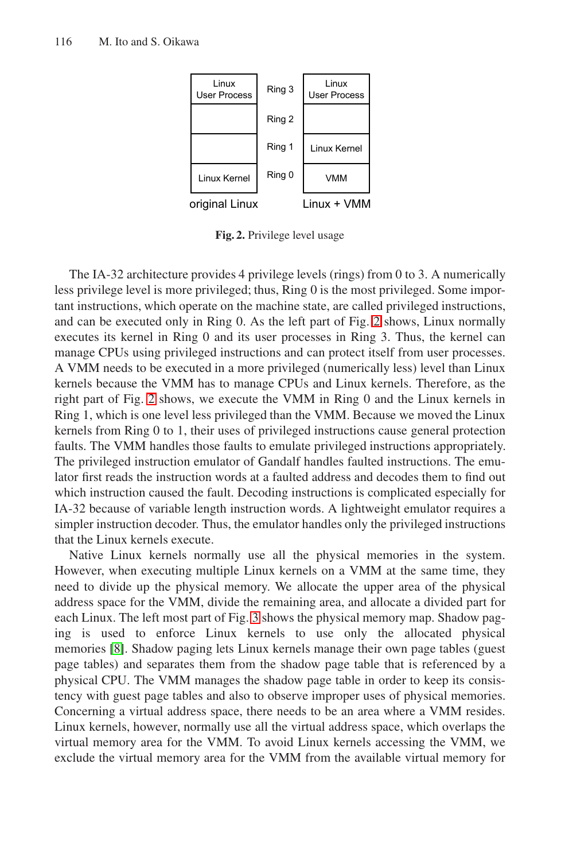

<span id="page-2-0"></span>**Fig. 2.** Privilege level usage

The IA-32 architecture provides 4 privilege levels (rings) from 0 to 3. A numerically less privilege level is more privileged; thus, Ring 0 is the most privileged. Some important instructions, which operate on the machine state, are called privileged instructions, and can be executed only in Ring 0. As the left part of Fig. [2](#page-2-0) shows, Linux normally executes its kernel in Ring 0 and its user processes in Ring 3. Thus, the kernel can manage CPUs using privileged instructions and can protect itself from user processes. A VMM needs to be executed in a more privileged (numerically less) level than Linux kernels because the VMM has to manage CPUs and Linux kernels. Therefore, as the right part of Fig. [2](#page-2-0) shows, we execute the VMM in Ring 0 and the Linux kernels in Ring 1, which is one level less privileged than the VMM. Because we moved the Linux kernels from Ring 0 to 1, their uses of privileged instructions cause general protection faults. The VMM handles those faults to emulate privileged instructions appropriately. The privileged instruction emulator of Gandalf handles faulted instructions. The emulator first reads the instruction words at a faulted address and decodes them to find out which instruction caused the fault. Decoding instructions is complicated especially for IA-32 because of variable length instruction words. A lightweight emulator requires a simpler instruction decoder. Thus, the emulator handles only the privileged instructions that the Linux kernels execute.

Native Linux kernels normally use all the physical memories in the system. However, when executing multiple Linux kernels on a VMM at the same time, they need to divide up the physical memory. We allocate the upper area of the physical address space for the VMM, divide the remaining area, and allocate a divided part for each Linux. The left most part of Fig. [3](#page-3-1) shows the physical memory map. Shadow paging is used to enforce Linux kernels to use only the allocated physical memories [\[8\]](#page-11-1). Shadow paging lets Linux kernels manage their own page tables (guest page tables) and separates them from the shadow page table that is referenced by a physical CPU. The VMM manages the shadow page table in order to keep its consistency with guest page tables and also to observe improper uses of physical memories. Concerning a virtual address space, there needs to be an area where a VMM resides. Linux kernels, however, normally use all the virtual address space, which overlaps the virtual memory area for the VMM. To avoid Linux kernels accessing the VMM, we exclude the virtual memory area for the VMM from the available virtual memory for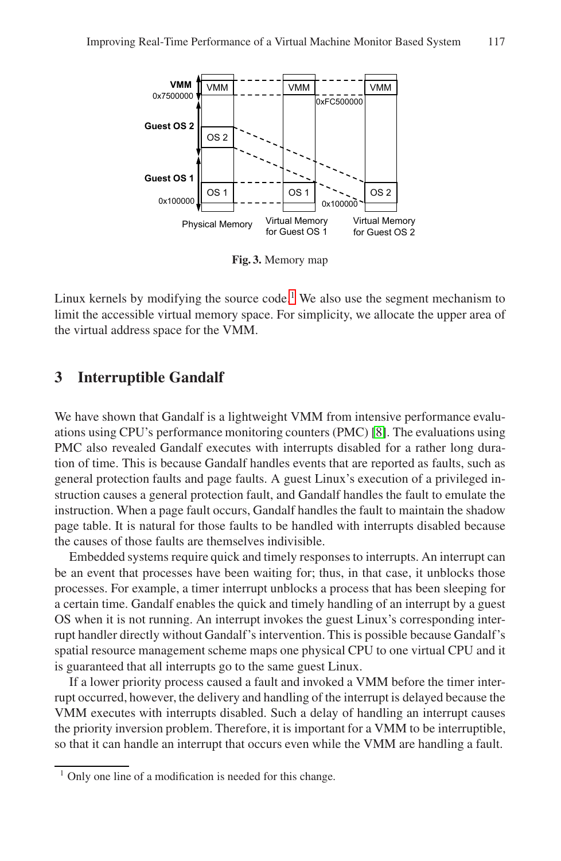

<span id="page-3-1"></span>**Fig. 3.** Memory map

Linux kernels by modifying the source code.<sup>[1](#page-3-2)</sup> We also use the segment mechanism to limit the accessible virtual memory space. For simplicity, we allocate the upper area of the virtual address space for the VMM.

#### <span id="page-3-0"></span>**3 Interruptible Gandalf**

We have shown that Gandalf is a lightweight VMM from intensive performance evaluations using CPU's performance monitoring counters (PMC) [\[8\]](#page-11-1). The evaluations using PMC also revealed Gandalf executes with interrupts disabled for a rather long duration of time. This is because Gandalf handles events that are reported as faults, such as general protection faults and page faults. A guest Linux's execution of a privileged instruction causes a general protection fault, and Gandalf handles the fault to emulate the instruction. When a page fault occurs, Gandalf handles the fault to maintain the shadow page table. It is natural for those faults to be handled with interrupts disabled because the causes of those faults are themselves indivisible.

Embedded systems require quick and timely responses to interrupts. An interrupt can be an event that processes have been waiting for; thus, in that case, it unblocks those processes. For example, a timer interrupt unblocks a process that has been sleeping for a certain time. Gandalf enables the quick and timely handling of an interrupt by a guest OS when it is not running. An interrupt invokes the guest Linux's corresponding interrupt handler directly without Gandalf's intervention. This is possible because Gandalf's spatial resource management scheme maps one physical CPU to one virtual CPU and it is guaranteed that all interrupts go to the same guest Linux.

If a lower priority process caused a fault and invoked a VMM before the timer interrupt occurred, however, the delivery and handling of the interrupt is delayed because the VMM executes with interrupts disabled. Such a delay of handling an interrupt causes the priority inversion problem. Therefore, it is important for a VMM to be interruptible, so that it can handle an interrupt that occurs even while the VMM are handling a fault.

<span id="page-3-2"></span><sup>&</sup>lt;sup>1</sup> Only one line of a modification is needed for this change.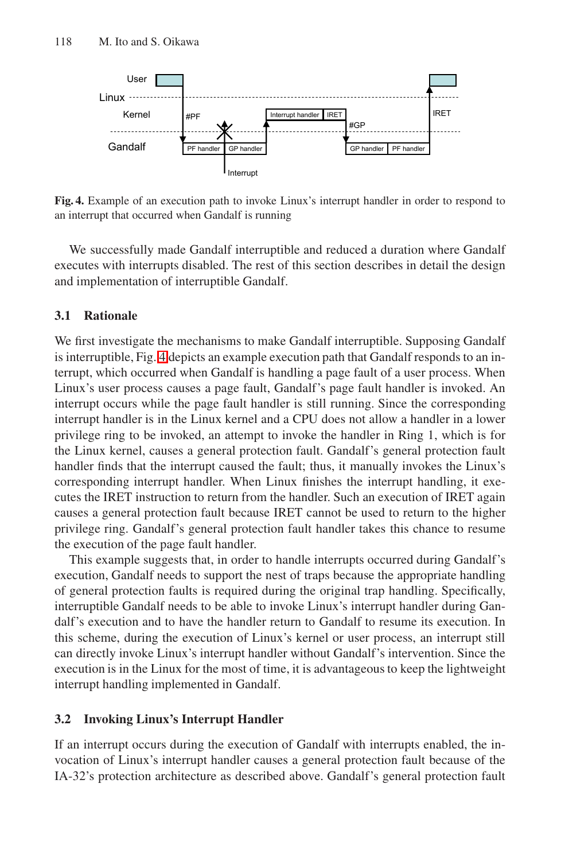

<span id="page-4-0"></span>**Fig. 4.** Example of an execution path to invoke Linux's interrupt handler in order to respond to an interrupt that occurred when Gandalf is running

We successfully made Gandalf interruptible and reduced a duration where Gandalf executes with interrupts disabled. The rest of this section describes in detail the design and implementation of interruptible Gandalf.

### **3.1 Rationale**

We first investigate the mechanisms to make Gandalf interruptible. Supposing Gandalf is interruptible, Fig. [4](#page-4-0) depicts an example execution path that Gandalf responds to an interrupt, which occurred when Gandalf is handling a page fault of a user process. When Linux's user process causes a page fault, Gandalf's page fault handler is invoked. An interrupt occurs while the page fault handler is still running. Since the corresponding interrupt handler is in the Linux kernel and a CPU does not allow a handler in a lower privilege ring to be invoked, an attempt to invoke the handler in Ring 1, which is for the Linux kernel, causes a general protection fault. Gandalf's general protection fault handler finds that the interrupt caused the fault; thus, it manually invokes the Linux's corresponding interrupt handler. When Linux finishes the interrupt handling, it executes the IRET instruction to return from the handler. Such an execution of IRET again causes a general protection fault because IRET cannot be used to return to the higher privilege ring. Gandalf's general protection fault handler takes this chance to resume the execution of the page fault handler.

This example suggests that, in order to handle interrupts occurred during Gandalf's execution, Gandalf needs to support the nest of traps because the appropriate handling of general protection faults is required during the original trap handling. Specifically, interruptible Gandalf needs to be able to invoke Linux's interrupt handler during Gandalf's execution and to have the handler return to Gandalf to resume its execution. In this scheme, during the execution of Linux's kernel or user process, an interrupt still can directly invoke Linux's interrupt handler without Gandalf's intervention. Since the execution is in the Linux for the most of time, it is advantageous to keep the lightweight interrupt handling implemented in Gandalf.

#### **3.2 Invoking Linux's Interrupt Handler**

If an interrupt occurs during the execution of Gandalf with interrupts enabled, the invocation of Linux's interrupt handler causes a general protection fault because of the IA-32's protection architecture as described above. Gandalf's general protection fault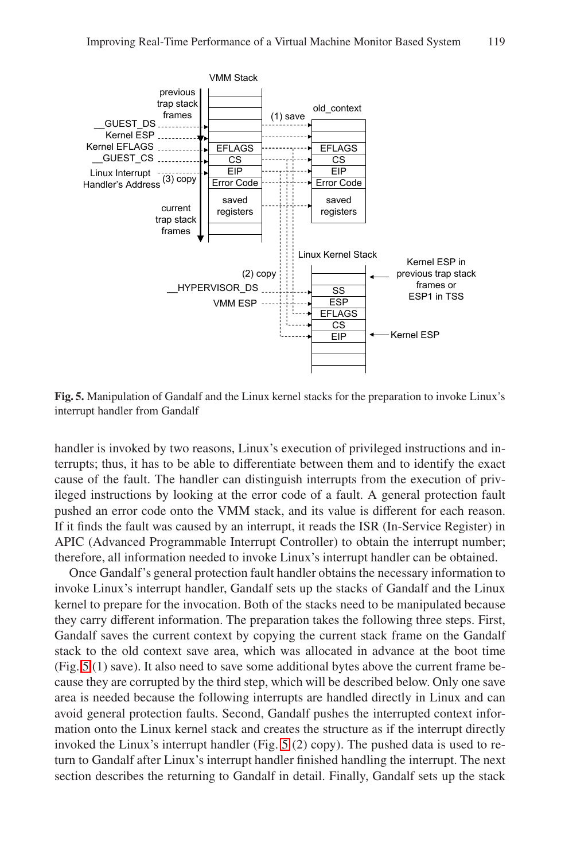

<span id="page-5-0"></span>**Fig. 5.** Manipulation of Gandalf and the Linux kernel stacks for the preparation to invoke Linux's interrupt handler from Gandalf

handler is invoked by two reasons, Linux's execution of privileged instructions and interrupts; thus, it has to be able to differentiate between them and to identify the exact cause of the fault. The handler can distinguish interrupts from the execution of privileged instructions by looking at the error code of a fault. A general protection fault pushed an error code onto the VMM stack, and its value is different for each reason. If it finds the fault was caused by an interrupt, it reads the ISR (In-Service Register) in APIC (Advanced Programmable Interrupt Controller) to obtain the interrupt number; therefore, all information needed to invoke Linux's interrupt handler can be obtained.

Once Gandalf's general protection fault handler obtains the necessary information to invoke Linux's interrupt handler, Gandalf sets up the stacks of Gandalf and the Linux kernel to prepare for the invocation. Both of the stacks need to be manipulated because they carry different information. The preparation takes the following three steps. First, Gandalf saves the current context by copying the current stack frame on the Gandalf stack to the old context save area, which was allocated in advance at the boot time (Fig. [5](#page-5-0) (1) save). It also need to save some additional bytes above the current frame because they are corrupted by the third step, which will be described below. Only one save area is needed because the following interrupts are handled directly in Linux and can avoid general protection faults. Second, Gandalf pushes the interrupted context information onto the Linux kernel stack and creates the structure as if the interrupt directly invoked the Linux's interrupt handler (Fig. [5](#page-5-0) (2) copy). The pushed data is used to return to Gandalf after Linux's interrupt handler finished handling the interrupt. The next section describes the returning to Gandalf in detail. Finally, Gandalf sets up the stack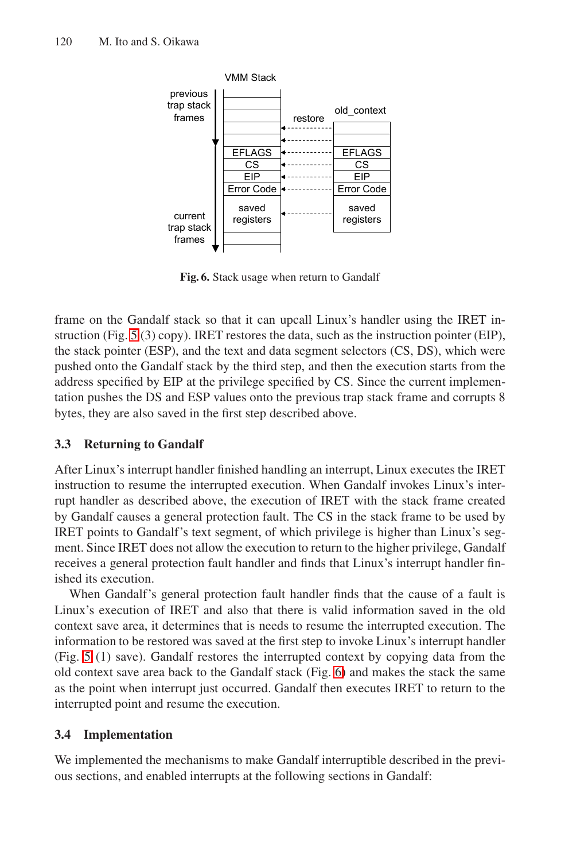

<span id="page-6-0"></span>**Fig. 6.** Stack usage when return to Gandalf

frame on the Gandalf stack so that it can upcall Linux's handler using the IRET instruction (Fig. [5](#page-5-0) (3) copy). IRET restores the data, such as the instruction pointer (EIP), the stack pointer (ESP), and the text and data segment selectors (CS, DS), which were pushed onto the Gandalf stack by the third step, and then the execution starts from the address specified by EIP at the privilege specified by CS. Since the current implementation pushes the DS and ESP values onto the previous trap stack frame and corrupts 8 bytes, they are also saved in the first step described above.

#### **3.3 Returning to Gandalf**

After Linux's interrupt handler finished handling an interrupt, Linux executes the IRET instruction to resume the interrupted execution. When Gandalf invokes Linux's interrupt handler as described above, the execution of IRET with the stack frame created by Gandalf causes a general protection fault. The CS in the stack frame to be used by IRET points to Gandalf's text segment, of which privilege is higher than Linux's segment. Since IRET does not allow the execution to return to the higher privilege, Gandalf receives a general protection fault handler and finds that Linux's interrupt handler finished its execution.

When Gandalf's general protection fault handler finds that the cause of a fault is Linux's execution of IRET and also that there is valid information saved in the old context save area, it determines that is needs to resume the interrupted execution. The information to be restored was saved at the first step to invoke Linux's interrupt handler (Fig. [5](#page-5-0) (1) save). Gandalf restores the interrupted context by copying data from the old context save area back to the Gandalf stack (Fig. [6\)](#page-6-0) and makes the stack the same as the point when interrupt just occurred. Gandalf then executes IRET to return to the interrupted point and resume the execution.

#### <span id="page-6-1"></span>**3.4 Implementation**

We implemented the mechanisms to make Gandalf interruptible described in the previous sections, and enabled interrupts at the following sections in Gandalf: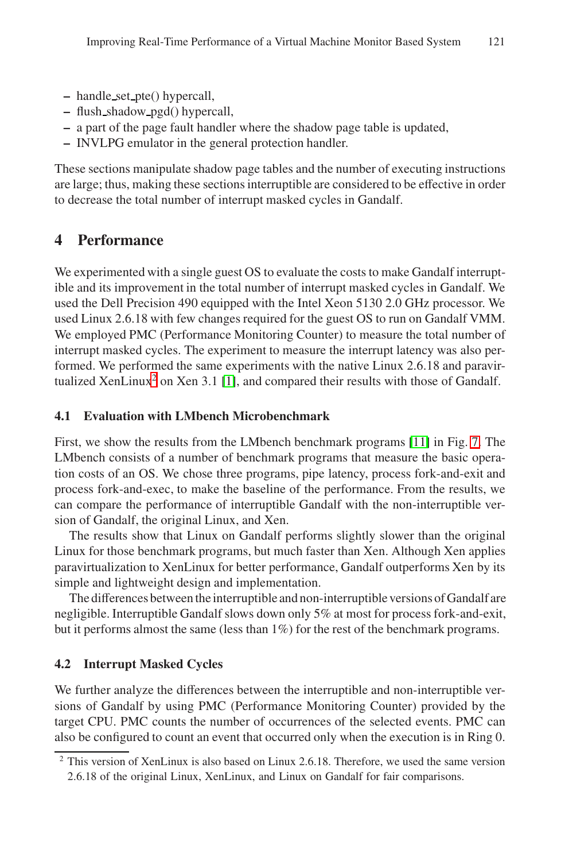- **–** handle set pte() hypercall,
- **–** flush shadow pgd() hypercall,
- **–** a part of the page fault handler where the shadow page table is updated,
- **–** INVLPG emulator in the general protection handler.

These sections manipulate shadow page tables and the number of executing instructions are large; thus, making these sections interruptible are considered to be effective in order to decrease the total number of interrupt masked cycles in Gandalf.

#### <span id="page-7-0"></span>**4 Performance**

We experimented with a single guest OS to evaluate the costs to make Gandalf interruptible and its improvement in the total number of interrupt masked cycles in Gandalf. We used the Dell Precision 490 equipped with the Intel Xeon 5130 2.0 GHz processor. We used Linux 2.6.18 with few changes required for the guest OS to run on Gandalf VMM. We employed PMC (Performance Monitoring Counter) to measure the total number of interrupt masked cycles. The experiment to measure the interrupt latency was also performed. We performed the same experiments with the native Linux 2.6.18 and paravir-tualized XenLinux<sup>[2](#page-7-1)</sup> on Xen 3.1 [\[1\]](#page-10-2), and compared their results with those of Gandalf.

#### **4.1 Evaluation with LMbench Microbenchmark**

First, we show the results from the LMbench benchmark programs [\[11\]](#page-11-4) in Fig. [7.](#page-8-0) The LMbench consists of a number of benchmark programs that measure the basic operation costs of an OS. We chose three programs, pipe latency, process fork-and-exit and process fork-and-exec, to make the baseline of the performance. From the results, we can compare the performance of interruptible Gandalf with the non-interruptible version of Gandalf, the original Linux, and Xen.

The results show that Linux on Gandalf performs slightly slower than the original Linux for those benchmark programs, but much faster than Xen. Although Xen applies paravirtualization to XenLinux for better performance, Gandalf outperforms Xen by its simple and lightweight design and implementation.

The differences between the interruptible and non-interruptible versions of Gandalf are negligible. Interruptible Gandalf slows down only 5% at most for process fork-and-exit, but it performs almost the same (less than 1%) for the rest of the benchmark programs.

#### **4.2 Interrupt Masked Cycles**

We further analyze the differences between the interruptible and non-interruptible versions of Gandalf by using PMC (Performance Monitoring Counter) provided by the target CPU. PMC counts the number of occurrences of the selected events. PMC can also be configured to count an event that occurred only when the execution is in Ring 0.

<span id="page-7-1"></span><sup>&</sup>lt;sup>2</sup> This version of XenLinux is also based on Linux 2.6.18. Therefore, we used the same version 2.6.18 of the original Linux, XenLinux, and Linux on Gandalf for fair comparisons.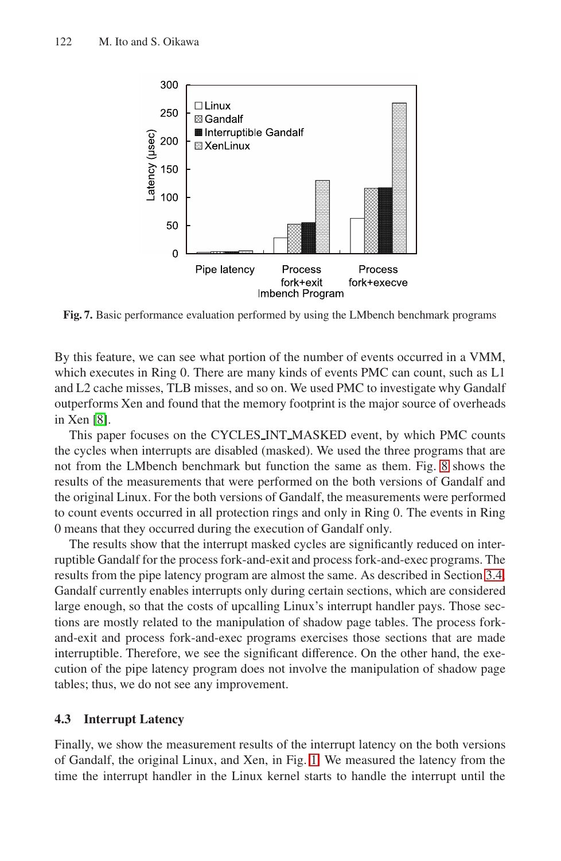

**Fig. 7.** Basic performance evaluation performed by using the LMbench benchmark programs

<span id="page-8-0"></span>By this feature, we can see what portion of the number of events occurred in a VMM, which executes in Ring 0. There are many kinds of events PMC can count, such as L1 and L2 cache misses, TLB misses, and so on. We used PMC to investigate why Gandalf outperforms Xen and found that the memory footprint is the major source of overheads in Xen [\[8\]](#page-11-1).

This paper focuses on the CYCLES INT MASKED event, by which PMC counts the cycles when interrupts are disabled (masked). We used the three programs that are not from the LMbench benchmark but function the same as them. Fig. [8](#page-9-1) shows the results of the measurements that were performed on the both versions of Gandalf and the original Linux. For the both versions of Gandalf, the measurements were performed to count events occurred in all protection rings and only in Ring 0. The events in Ring 0 means that they occurred during the execution of Gandalf only.

The results show that the interrupt masked cycles are significantly reduced on interruptible Gandalf for the process fork-and-exit and process fork-and-exec programs. The results from the pipe latency program are almost the same. As described in Section [3.4,](#page-6-1) Gandalf currently enables interrupts only during certain sections, which are considered large enough, so that the costs of upcalling Linux's interrupt handler pays. Those sections are mostly related to the manipulation of shadow page tables. The process forkand-exit and process fork-and-exec programs exercises those sections that are made interruptible. Therefore, we see the significant difference. On the other hand, the execution of the pipe latency program does not involve the manipulation of shadow page tables; thus, we do not see any improvement.

#### **4.3 Interrupt Latency**

Finally, we show the measurement results of the interrupt latency on the both versions of Gandalf, the original Linux, and Xen, in Fig. [1.](#page-9-2) We measured the latency from the time the interrupt handler in the Linux kernel starts to handle the interrupt until the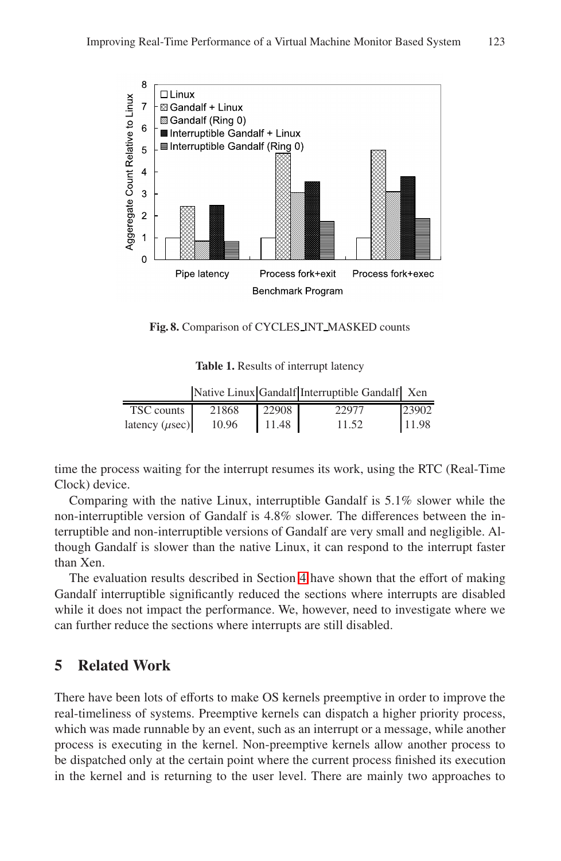

<span id="page-9-1"></span>**Fig. 8.** Comparison of CYCLES INT MASKED counts

**Table 1.** Results of interrupt latency

<span id="page-9-2"></span>

|                      |       |       | Native Linux Gandalf Interruptible Gandalf Xen |       |
|----------------------|-------|-------|------------------------------------------------|-------|
| TSC counts           | 21868 | 22908 | 22977                                          | 23902 |
| latency $(\mu \sec)$ | 10.96 | 11.48 | 11.52                                          | 11.98 |

time the process waiting for the interrupt resumes its work, using the RTC (Real-Time Clock) device.

Comparing with the native Linux, interruptible Gandalf is 5.1% slower while the non-interruptible version of Gandalf is 4.8% slower. The differences between the interruptible and non-interruptible versions of Gandalf are very small and negligible. Although Gandalf is slower than the native Linux, it can respond to the interrupt faster than Xen.

The evaluation results described in Section [4](#page-7-0) have shown that the effort of making Gandalf interruptible significantly reduced the sections where interrupts are disabled while it does not impact the performance. We, however, need to investigate where we can further reduce the sections where interrupts are still disabled.

### <span id="page-9-0"></span>**5 Related Work**

There have been lots of efforts to make OS kernels preemptive in order to improve the real-timeliness of systems. Preemptive kernels can dispatch a higher priority process, which was made runnable by an event, such as an interrupt or a message, while another process is executing in the kernel. Non-preemptive kernels allow another process to be dispatched only at the certain point where the current process finished its execution in the kernel and is returning to the user level. There are mainly two approaches to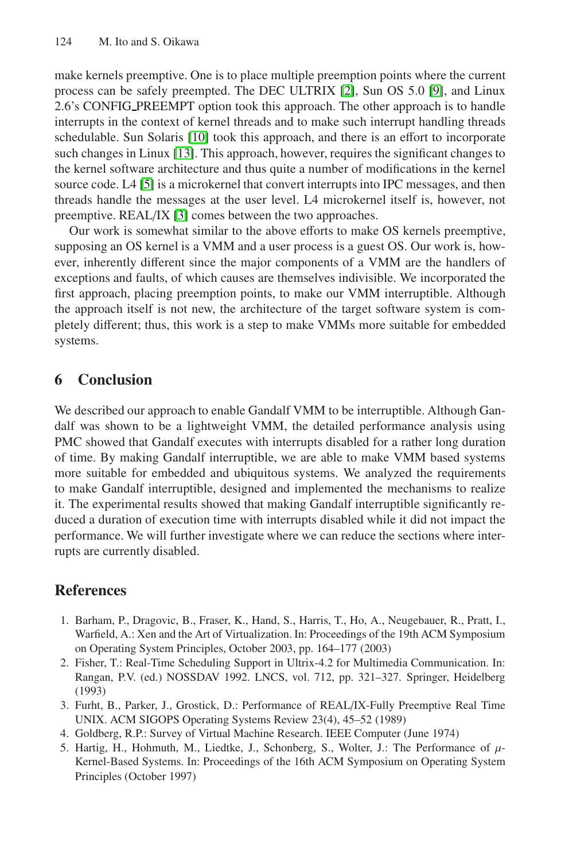make kernels preemptive. One is to place multiple preemption points where the current process can be safely preempted. The DEC ULTRIX [\[2\]](#page-10-3), Sun OS 5.0 [\[9\]](#page-11-5), and Linux 2.6's CONFIG PREEMPT option took this approach. The other approach is to handle interrupts in the context of kernel threads and to make such interrupt handling threads schedulable. Sun Solaris [\[10\]](#page-11-6) took this approach, and there is an effort to incorporate such changes in Linux [\[13\]](#page-11-7). This approach, however, requires the significant changes to the kernel software architecture and thus quite a number of modifications in the kernel source code. L4 [\[5\]](#page-10-4) is a microkernel that convert interrupts into IPC messages, and then threads handle the messages at the user level. L4 microkernel itself is, however, not preemptive. REAL/IX [\[3\]](#page-10-5) comes between the two approaches.

Our work is somewhat similar to the above efforts to make OS kernels preemptive, supposing an OS kernel is a VMM and a user process is a guest OS. Our work is, however, inherently different since the major components of a VMM are the handlers of exceptions and faults, of which causes are themselves indivisible. We incorporated the first approach, placing preemption points, to make our VMM interruptible. Although the approach itself is not new, the architecture of the target software system is completely different; thus, this work is a step to make VMMs more suitable for embedded systems.

# <span id="page-10-1"></span>**6 Conclusion**

We described our approach to enable Gandalf VMM to be interruptible. Although Gandalf was shown to be a lightweight VMM, the detailed performance analysis using PMC showed that Gandalf executes with interrupts disabled for a rather long duration of time. By making Gandalf interruptible, we are able to make VMM based systems more suitable for embedded and ubiquitous systems. We analyzed the requirements to make Gandalf interruptible, designed and implemented the mechanisms to realize it. The experimental results showed that making Gandalf interruptible significantly reduced a duration of execution time with interrupts disabled while it did not impact the performance. We will further investigate where we can reduce the sections where interrupts are currently disabled.

# <span id="page-10-2"></span>**References**

- 1. Barham, P., Dragovic, B., Fraser, K., Hand, S., Harris, T., Ho, A., Neugebauer, R., Pratt, I., Warfield, A.: Xen and the Art of Virtualization. In: Proceedings of the 19th ACM Symposium on Operating System Principles, October 2003, pp. 164–177 (2003)
- <span id="page-10-3"></span>2. Fisher, T.: Real-Time Scheduling Support in Ultrix-4.2 for Multimedia Communication. In: Rangan, P.V. (ed.) NOSSDAV 1992. LNCS, vol. 712, pp. 321–327. Springer, Heidelberg (1993)
- <span id="page-10-5"></span>3. Furht, B., Parker, J., Grostick, D.: Performance of REAL/IX-Fully Preemptive Real Time UNIX. ACM SIGOPS Operating Systems Review 23(4), 45–52 (1989)
- <span id="page-10-4"></span><span id="page-10-0"></span>4. Goldberg, R.P.: Survey of Virtual Machine Research. IEEE Computer (June 1974)
- 5. Hartig, H., Hohmuth, M., Liedtke, J., Schonberg, S., Wolter, J.: The Performance of  $\mu$ -Kernel-Based Systems. In: Proceedings of the 16th ACM Symposium on Operating System Principles (October 1997)